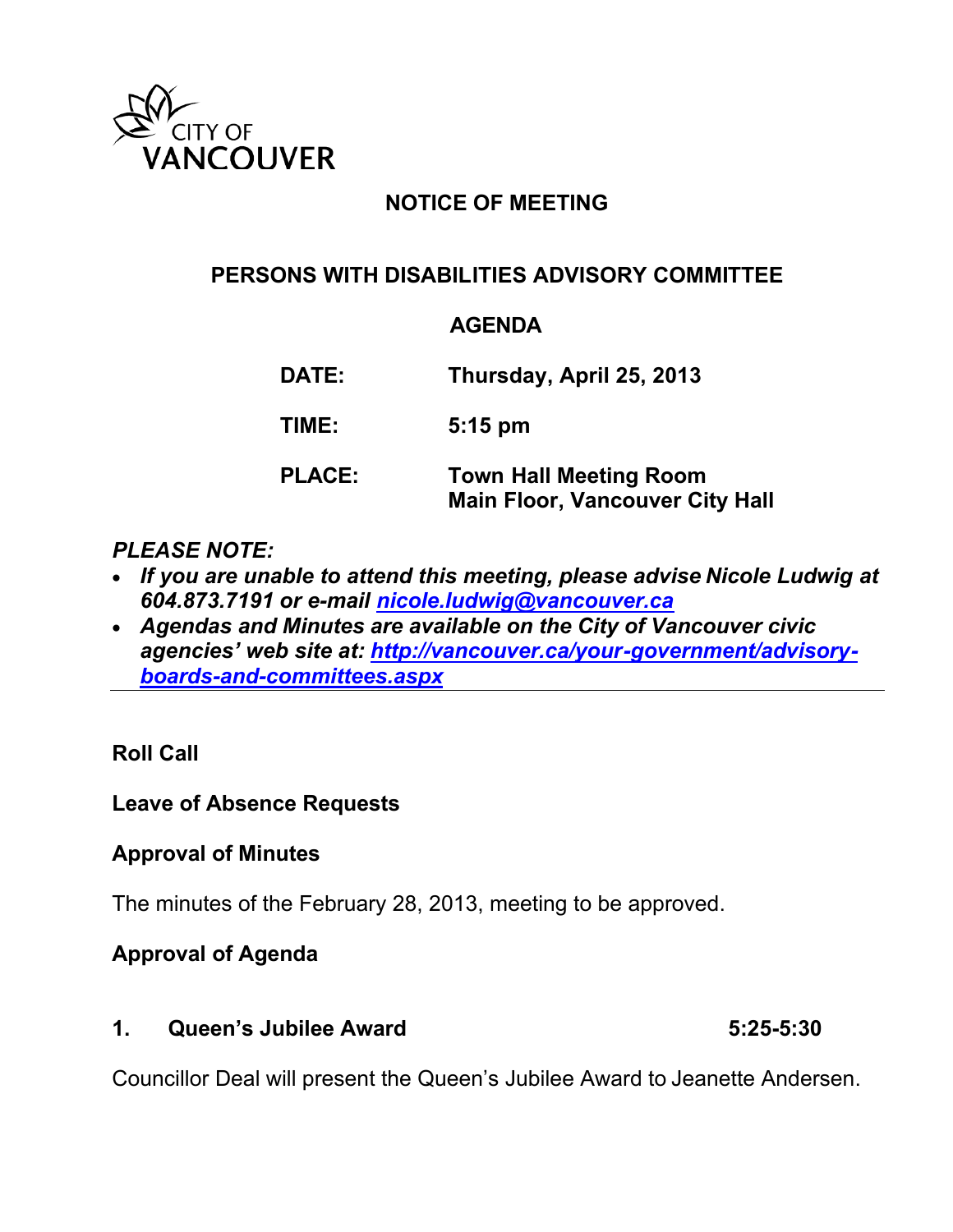

# **NOTICE OF MEETING**

## **PERSONS WITH DISABILITIES ADVISORY COMMITTEE**

#### **AGENDA**

**DATE: Thursday, April 25, 2013 TIME: 5:15 pm PLACE: Town Hall Meeting Room Main Floor, Vancouver City Hall**

#### *PLEASE NOTE:*

- *If you are unable to attend this meeting, please advise Nicole Ludwig at 604.873.7191 or e-mail [nicole.ludwig@vancouver.ca](mailto:nicole.ludwig@vancouver.ca)*
- *Agendas and Minutes are available on the City of Vancouver civic agencies' web site at: [http://vancouver.ca/your-government/advisory](http://vancouver.ca/your-government/advisory-boards-and-committees.aspx)[boards-and-committees.aspx](http://vancouver.ca/your-government/advisory-boards-and-committees.aspx)*

### **Roll Call**

### **Leave of Absence Requests**

### **Approval of Minutes**

The minutes of the February 28, 2013, meeting to be approved.

### **Approval of Agenda**

**1. Queen's Jubilee Award 5:25-5:30**

Councillor Deal will present the Queen's Jubilee Award to Jeanette Andersen.